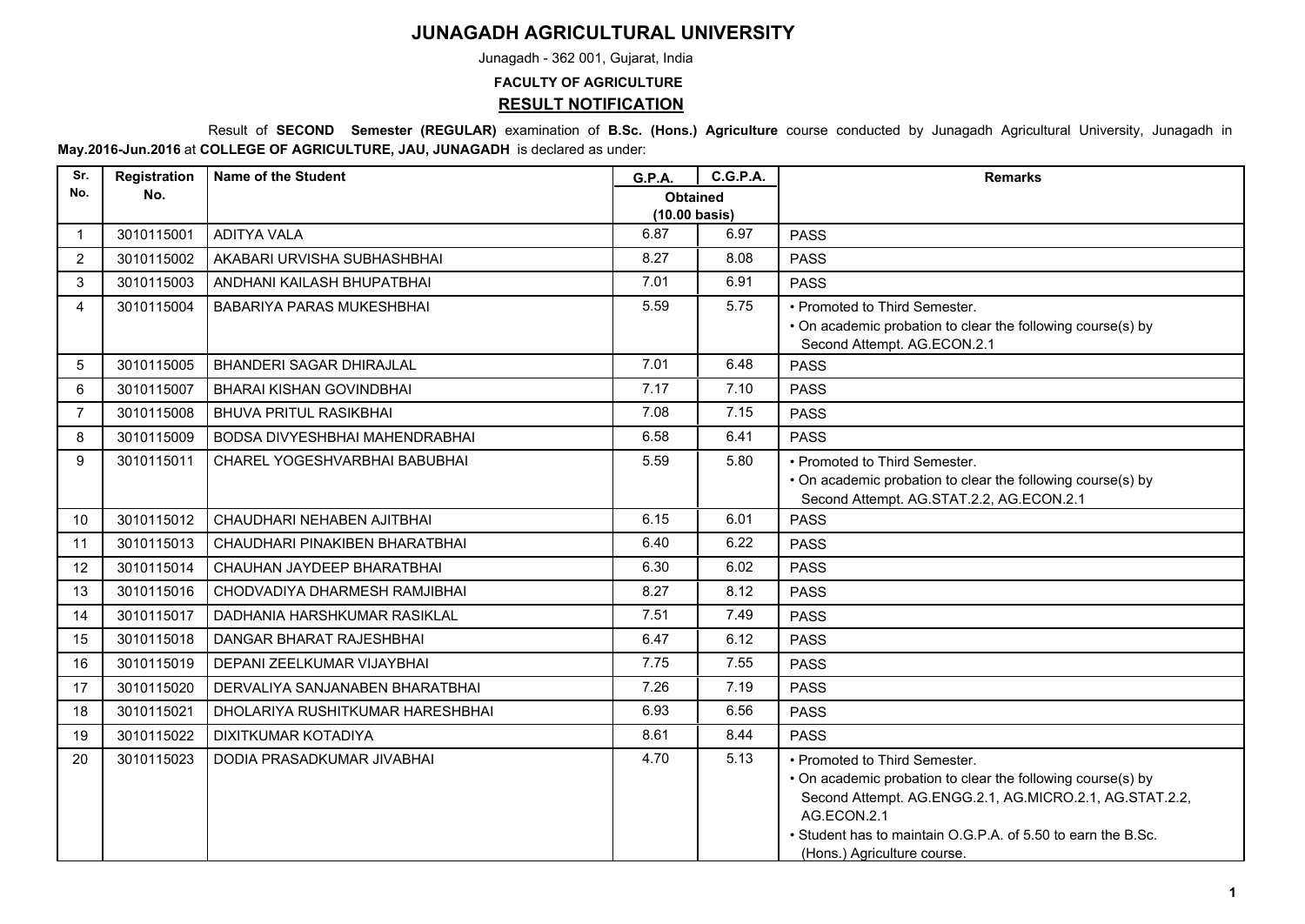## **JUNAGADH AGRICULTURAL UNIVERSITY**

Junagadh - 362 001, Gujarat, India

## **FACULTY OF AGRICULTURE**

## **RESULT NOTIFICATION**

 Result of **SECOND Semester (REGULAR)** examination of **B.Sc. (Hons.) Agriculture** course conducted by Junagadh Agricultural University, Junagadh in **May.2016-Jun.2016** at **COLLEGE OF AGRICULTURE, JAU, JUNAGADH** is declared as under:

| Sr.            | Registration | <b>Name of the Student</b>       | G.P.A.                                     | C.G.P.A. | <b>Remarks</b>                                                                                                                                                                                                                                                        |
|----------------|--------------|----------------------------------|--------------------------------------------|----------|-----------------------------------------------------------------------------------------------------------------------------------------------------------------------------------------------------------------------------------------------------------------------|
| No.            | No.          |                                  | <b>Obtained</b><br>$(10.00 \text{ basis})$ |          |                                                                                                                                                                                                                                                                       |
| $\mathbf{1}$   | 3010115001   | <b>ADITYA VALA</b>               | 6.87                                       | 6.97     | <b>PASS</b>                                                                                                                                                                                                                                                           |
| $\overline{2}$ | 3010115002   | AKABARI URVISHA SUBHASHBHAI      | 8.27                                       | 8.08     | <b>PASS</b>                                                                                                                                                                                                                                                           |
| 3              | 3010115003   | ANDHANI KAILASH BHUPATBHAI       | 7.01                                       | 6.91     | <b>PASS</b>                                                                                                                                                                                                                                                           |
| 4              | 3010115004   | <b>BABARIYA PARAS MUKESHBHAI</b> | 5.59                                       | 5.75     | • Promoted to Third Semester.<br>• On academic probation to clear the following course(s) by<br>Second Attempt. AG.ECON.2.1                                                                                                                                           |
| 5              | 3010115005   | BHANDERI SAGAR DHIRAJLAL         | 7.01                                       | 6.48     | <b>PASS</b>                                                                                                                                                                                                                                                           |
| 6              | 3010115007   | <b>BHARAI KISHAN GOVINDBHAI</b>  | 7.17                                       | 7.10     | <b>PASS</b>                                                                                                                                                                                                                                                           |
| $\overline{7}$ | 3010115008   | <b>BHUVA PRITUL RASIKBHAI</b>    | 7.08                                       | 7.15     | <b>PASS</b>                                                                                                                                                                                                                                                           |
| 8              | 3010115009   | BODSA DIVYESHBHAI MAHENDRABHAI   | 6.58                                       | 6.41     | <b>PASS</b>                                                                                                                                                                                                                                                           |
| 9              | 3010115011   | CHAREL YOGESHVARBHAI BABUBHAI    | 5.59                                       | 5.80     | • Promoted to Third Semester.<br>• On academic probation to clear the following course(s) by<br>Second Attempt. AG.STAT.2.2, AG.ECON.2.1                                                                                                                              |
| 10             | 3010115012   | CHAUDHARI NEHABEN AJITBHAI       | 6.15                                       | 6.01     | <b>PASS</b>                                                                                                                                                                                                                                                           |
| 11             | 3010115013   | CHAUDHARI PINAKIBEN BHARATBHAI   | 6.40                                       | 6.22     | <b>PASS</b>                                                                                                                                                                                                                                                           |
| 12             | 3010115014   | CHAUHAN JAYDEEP BHARATBHAI       | 6.30                                       | 6.02     | <b>PASS</b>                                                                                                                                                                                                                                                           |
| 13             | 3010115016   | CHODVADIYA DHARMESH RAMJIBHAI    | 8.27                                       | 8.12     | <b>PASS</b>                                                                                                                                                                                                                                                           |
| 14             | 3010115017   | DADHANIA HARSHKUMAR RASIKLAL     | 7.51                                       | 7.49     | <b>PASS</b>                                                                                                                                                                                                                                                           |
| 15             | 3010115018   | DANGAR BHARAT RAJESHBHAI         | 6.47                                       | 6.12     | <b>PASS</b>                                                                                                                                                                                                                                                           |
| 16             | 3010115019   | DEPANI ZEELKUMAR VIJAYBHAI       | 7.75                                       | 7.55     | <b>PASS</b>                                                                                                                                                                                                                                                           |
| 17             | 3010115020   | DERVALIYA SANJANABEN BHARATBHAI  | 7.26                                       | 7.19     | <b>PASS</b>                                                                                                                                                                                                                                                           |
| 18             | 3010115021   | DHOLARIYA RUSHITKUMAR HARESHBHAI | 6.93                                       | 6.56     | <b>PASS</b>                                                                                                                                                                                                                                                           |
| 19             | 3010115022   | DIXITKUMAR KOTADIYA              | 8.61                                       | 8.44     | <b>PASS</b>                                                                                                                                                                                                                                                           |
| 20             | 3010115023   | DODIA PRASADKUMAR JIVABHAI       | 4.70                                       | 5.13     | • Promoted to Third Semester.<br>• On academic probation to clear the following course(s) by<br>Second Attempt. AG.ENGG.2.1, AG.MICRO.2.1, AG.STAT.2.2,<br>AG.ECON.2.1<br>. Student has to maintain O.G.P.A. of 5.50 to earn the B.Sc.<br>(Hons.) Agriculture course. |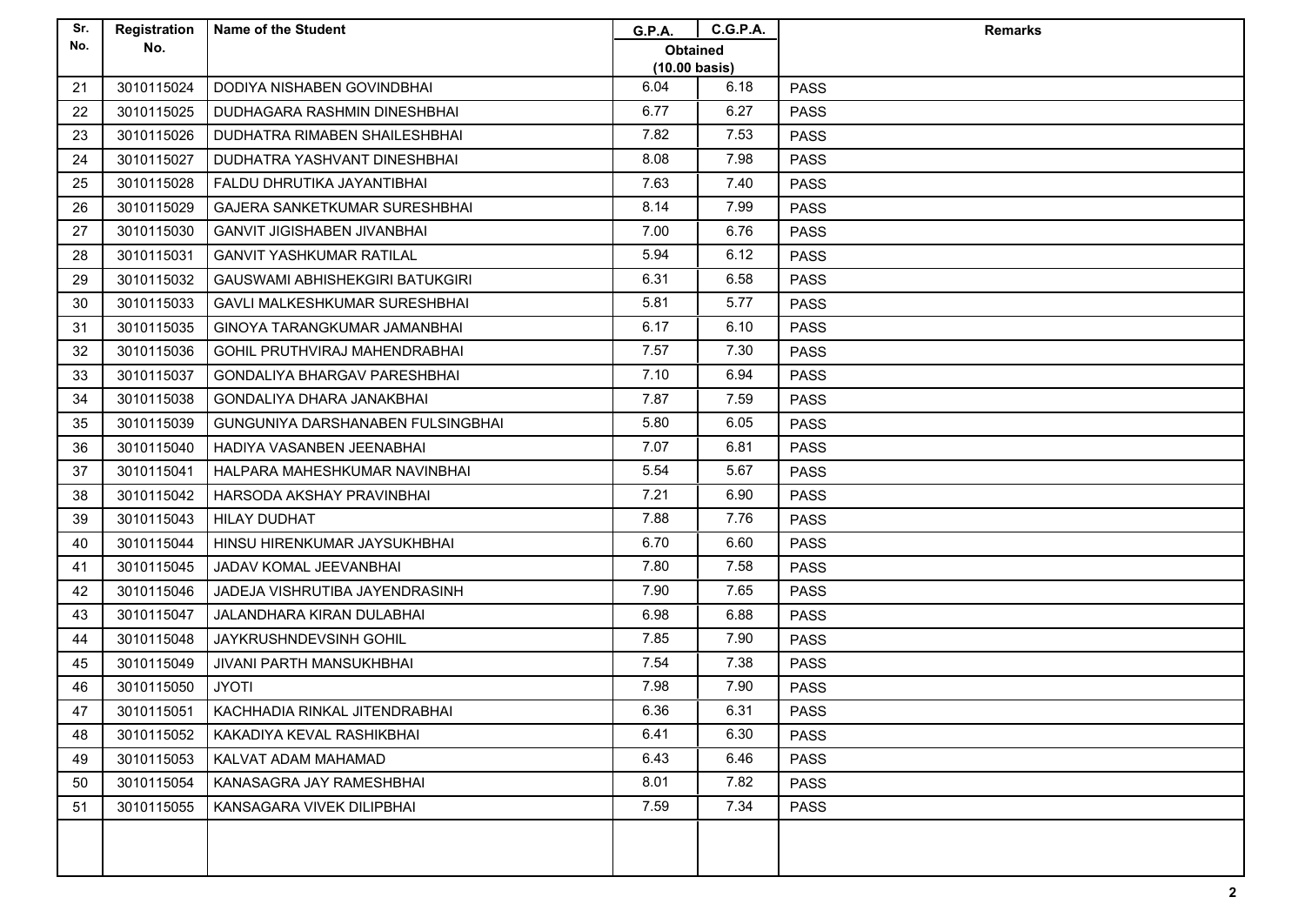| Sr. | Registration | <b>Name of the Student</b>           | <b>G.P.A.</b>           | <b>C.G.P.A.</b> | <b>Remarks</b> |
|-----|--------------|--------------------------------------|-------------------------|-----------------|----------------|
| No. | No.          |                                      | <b>Obtained</b>         |                 |                |
|     |              |                                      | $(10.00 \text{ basis})$ |                 |                |
| 21  | 3010115024   | DODIYA NISHABEN GOVINDBHAI           | 6.04                    | 6.18            | <b>PASS</b>    |
| 22  | 3010115025   | DUDHAGARA RASHMIN DINESHBHAI         | 6.77                    | 6.27            | <b>PASS</b>    |
| 23  | 3010115026   | DUDHATRA RIMABEN SHAILESHBHAI        | 7.82                    | 7.53            | <b>PASS</b>    |
| 24  | 3010115027   | DUDHATRA YASHVANT DINESHBHAI         | 8.08                    | 7.98            | <b>PASS</b>    |
| 25  | 3010115028   | FALDU DHRUTIKA JAYANTIBHAI           | 7.63                    | 7.40            | <b>PASS</b>    |
| 26  | 3010115029   | GAJERA SANKETKUMAR SURESHBHAI        | 8.14                    | 7.99            | <b>PASS</b>    |
| 27  | 3010115030   | <b>GANVIT JIGISHABEN JIVANBHAI</b>   | 7.00                    | 6.76            | <b>PASS</b>    |
| 28  | 3010115031   | <b>GANVIT YASHKUMAR RATILAL</b>      | 5.94                    | 6.12            | <b>PASS</b>    |
| 29  | 3010115032   | GAUSWAMI ABHISHEKGIRI BATUKGIRI      | 6.31                    | 6.58            | <b>PASS</b>    |
| 30  | 3010115033   | <b>GAVLI MALKESHKUMAR SURESHBHAI</b> | 5.81                    | 5.77            | <b>PASS</b>    |
| 31  | 3010115035   | GINOYA TARANGKUMAR JAMANBHAI         | 6.17                    | 6.10            | <b>PASS</b>    |
| 32  | 3010115036   | GOHIL PRUTHVIRAJ MAHENDRABHAI        | 7.57                    | 7.30            | <b>PASS</b>    |
| 33  | 3010115037   | <b>GONDALIYA BHARGAV PARESHBHAI</b>  | 7.10                    | 6.94            | <b>PASS</b>    |
| 34  | 3010115038   | GONDALIYA DHARA JANAKBHAI            | 7.87                    | 7.59            | <b>PASS</b>    |
| 35  | 3010115039   | GUNGUNIYA DARSHANABEN FULSINGBHAI    | 5.80                    | 6.05            | <b>PASS</b>    |
| 36  | 3010115040   | HADIYA VASANBEN JEENABHAI            | 7.07                    | 6.81            | <b>PASS</b>    |
| 37  | 3010115041   | HALPARA MAHESHKUMAR NAVINBHAI        | 5.54                    | 5.67            | <b>PASS</b>    |
| 38  | 3010115042   | HARSODA AKSHAY PRAVINBHAI            | 7.21                    | 6.90            | <b>PASS</b>    |
| 39  | 3010115043   | HILAY DUDHAT                         | 7.88                    | 7.76            | <b>PASS</b>    |
| 40  | 3010115044   | HINSU HIRENKUMAR JAYSUKHBHAI         | 6.70                    | 6.60            | <b>PASS</b>    |
| 41  | 3010115045   | <b>JADAV KOMAL JEEVANBHAI</b>        | 7.80                    | 7.58            | <b>PASS</b>    |
| 42  | 3010115046   | JADEJA VISHRUTIBA JAYENDRASINH       | 7.90                    | 7.65            | <b>PASS</b>    |
| 43  | 3010115047   | <b>JALANDHARA KIRAN DULABHAI</b>     | 6.98                    | 6.88            | <b>PASS</b>    |
| 44  | 3010115048   | JAYKRUSHNDEVSINH GOHIL               | 7.85                    | 7.90            | <b>PASS</b>    |
| 45  | 3010115049   | <b>JIVANI PARTH MANSUKHBHAI</b>      | 7.54                    | 7.38            | <b>PASS</b>    |
| 46  | 3010115050   | <b>JYOTI</b>                         | 7.98                    | 7.90            | <b>PASS</b>    |
| 47  | 3010115051   | KACHHADIA RINKAL JITENDRABHAI        | 6.36                    | 6.31            | <b>PASS</b>    |
| 48  | 3010115052   | KAKADIYA KEVAL RASHIKBHAI            | 6.41                    | 6.30            | <b>PASS</b>    |
| 49  | 3010115053   | KALVAT ADAM MAHAMAD                  | 6.43                    | 6.46            | <b>PASS</b>    |
| 50  | 3010115054   | KANASAGRA JAY RAMESHBHAI             | 8.01                    | 7.82            | <b>PASS</b>    |
| 51  | 3010115055   | KANSAGARA VIVEK DILIPBHAI            | 7.59                    | 7.34            | <b>PASS</b>    |
|     |              |                                      |                         |                 |                |
|     |              |                                      |                         |                 |                |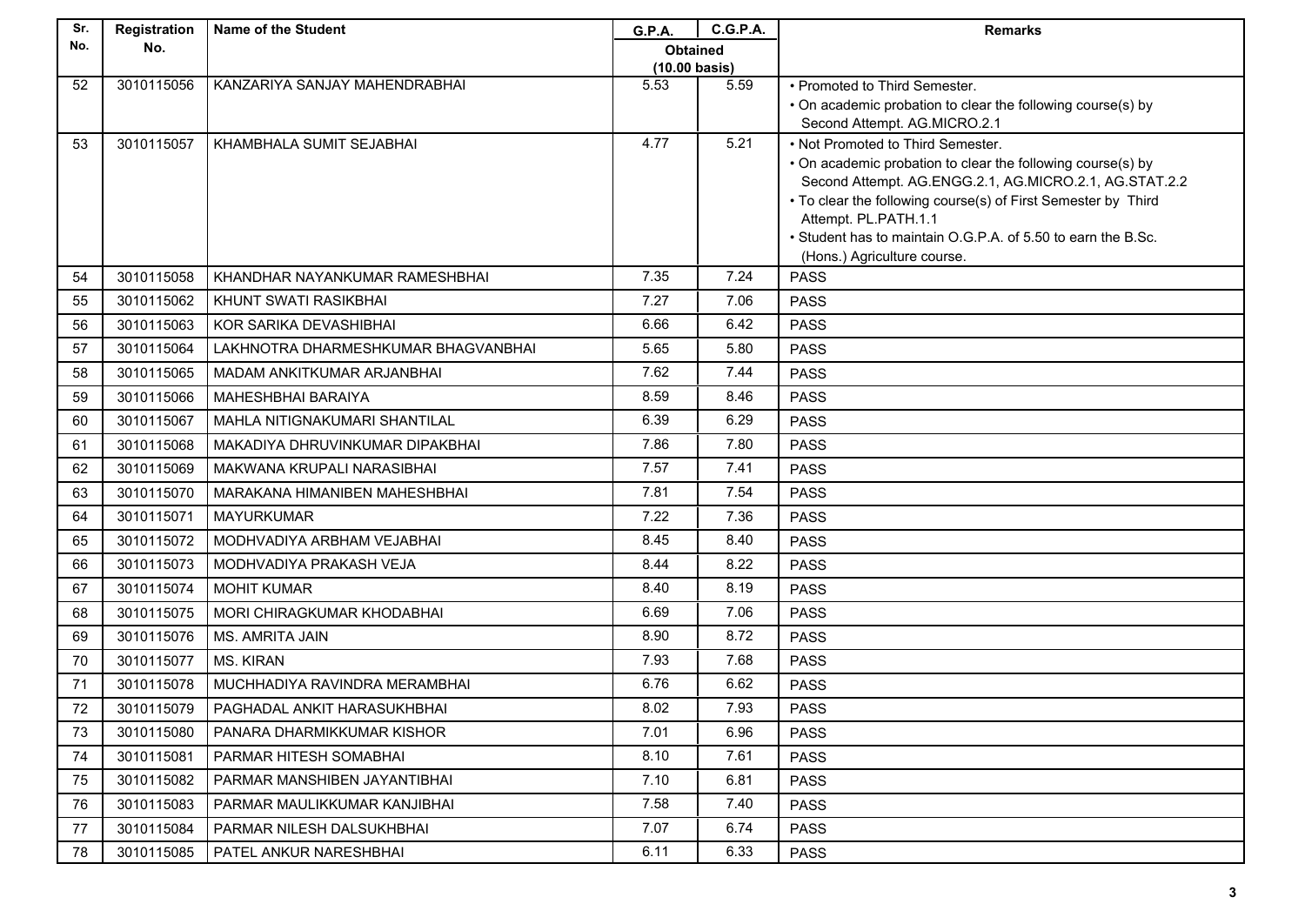| Sr. | Registration | <b>Name of the Student</b>          | <b>G.P.A.</b>                              | <b>C.G.P.A.</b> | <b>Remarks</b>                                                                                                          |
|-----|--------------|-------------------------------------|--------------------------------------------|-----------------|-------------------------------------------------------------------------------------------------------------------------|
| No. | No.          |                                     | <b>Obtained</b><br>$(10.00 \text{ basis})$ |                 |                                                                                                                         |
| 52  | 3010115056   | KANZARIYA SANJAY MAHENDRABHAI       | 5.53                                       | 5.59            | • Promoted to Third Semester.                                                                                           |
|     |              |                                     |                                            |                 | • On academic probation to clear the following course(s) by                                                             |
|     |              |                                     |                                            |                 | Second Attempt. AG.MICRO.2.1                                                                                            |
| 53  | 3010115057   | KHAMBHALA SUMIT SEJABHAI            | 4.77                                       | 5.21            | • Not Promoted to Third Semester.                                                                                       |
|     |              |                                     |                                            |                 | • On academic probation to clear the following course(s) by                                                             |
|     |              |                                     |                                            |                 | Second Attempt. AG.ENGG.2.1, AG.MICRO.2.1, AG.STAT.2.2<br>• To clear the following course(s) of First Semester by Third |
|     |              |                                     |                                            |                 | Attempt. PL.PATH.1.1                                                                                                    |
|     |              |                                     |                                            |                 | • Student has to maintain O.G.P.A. of 5.50 to earn the B.Sc.                                                            |
|     |              |                                     |                                            |                 | (Hons.) Agriculture course.                                                                                             |
| 54  | 3010115058   | KHANDHAR NAYANKUMAR RAMESHBHAI      | 7.35                                       | 7.24            | <b>PASS</b>                                                                                                             |
| 55  | 3010115062   | KHUNT SWATI RASIKBHAI               | 7.27                                       | 7.06            | <b>PASS</b>                                                                                                             |
| 56  | 3010115063   | KOR SARIKA DEVASHIBHAI              | 6.66                                       | 6.42            | <b>PASS</b>                                                                                                             |
| 57  | 3010115064   | LAKHNOTRA DHARMESHKUMAR BHAGVANBHAI | 5.65                                       | 5.80            | <b>PASS</b>                                                                                                             |
| 58  | 3010115065   | MADAM ANKITKUMAR ARJANBHAI          | 7.62                                       | 7.44            | <b>PASS</b>                                                                                                             |
| 59  | 3010115066   | <b>MAHESHBHAI BARAIYA</b>           | 8.59                                       | 8.46            | <b>PASS</b>                                                                                                             |
| 60  | 3010115067   | MAHLA NITIGNAKUMARI SHANTILAL       | 6.39                                       | 6.29            | <b>PASS</b>                                                                                                             |
| 61  | 3010115068   | MAKADIYA DHRUVINKUMAR DIPAKBHAI     | 7.86                                       | 7.80            | <b>PASS</b>                                                                                                             |
| 62  | 3010115069   | MAKWANA KRUPALI NARASIBHAI          | 7.57                                       | 7.41            | <b>PASS</b>                                                                                                             |
| 63  | 3010115070   | MARAKANA HIMANIBEN MAHESHBHAI       | 7.81                                       | 7.54            | <b>PASS</b>                                                                                                             |
| 64  | 3010115071   | <b>MAYURKUMAR</b>                   | 7.22                                       | 7.36            | <b>PASS</b>                                                                                                             |
| 65  | 3010115072   | MODHVADIYA ARBHAM VEJABHAI          | 8.45                                       | 8.40            | <b>PASS</b>                                                                                                             |
| 66  | 3010115073   | MODHVADIYA PRAKASH VEJA             | 8.44                                       | 8.22            | <b>PASS</b>                                                                                                             |
| 67  | 3010115074   | <b>MOHIT KUMAR</b>                  | 8.40                                       | 8.19            | <b>PASS</b>                                                                                                             |
| 68  | 3010115075   | MORI CHIRAGKUMAR KHODABHAI          | 6.69                                       | 7.06            | <b>PASS</b>                                                                                                             |
| 69  | 3010115076   | <b>MS. AMRITA JAIN</b>              | 8.90                                       | 8.72            | <b>PASS</b>                                                                                                             |
| 70  | 3010115077   | <b>MS. KIRAN</b>                    | 7.93                                       | 7.68            | <b>PASS</b>                                                                                                             |
| 71  | 3010115078   | MUCHHADIYA RAVINDRA MERAMBHAI       | 6.76                                       | 6.62            | <b>PASS</b>                                                                                                             |
| 72  | 3010115079   | PAGHADAL ANKIT HARASUKHBHAI         | 8.02                                       | 7.93            | <b>PASS</b>                                                                                                             |
| 73  | 3010115080   | PANARA DHARMIKKUMAR KISHOR          | 7.01                                       | 6.96            | <b>PASS</b>                                                                                                             |
| 74  | 3010115081   | PARMAR HITESH SOMABHAI              | 8.10                                       | 7.61            | <b>PASS</b>                                                                                                             |
| 75  | 3010115082   | PARMAR MANSHIBEN JAYANTIBHAI        | 7.10                                       | 6.81            | <b>PASS</b>                                                                                                             |
| 76  | 3010115083   | PARMAR MAULIKKUMAR KANJIBHAI        | 7.58                                       | 7.40            | <b>PASS</b>                                                                                                             |
| 77  | 3010115084   | PARMAR NILESH DALSUKHBHAI           | 7.07                                       | 6.74            | <b>PASS</b>                                                                                                             |
| 78  | 3010115085   | PATEL ANKUR NARESHBHAI              | 6.11                                       | 6.33            | <b>PASS</b>                                                                                                             |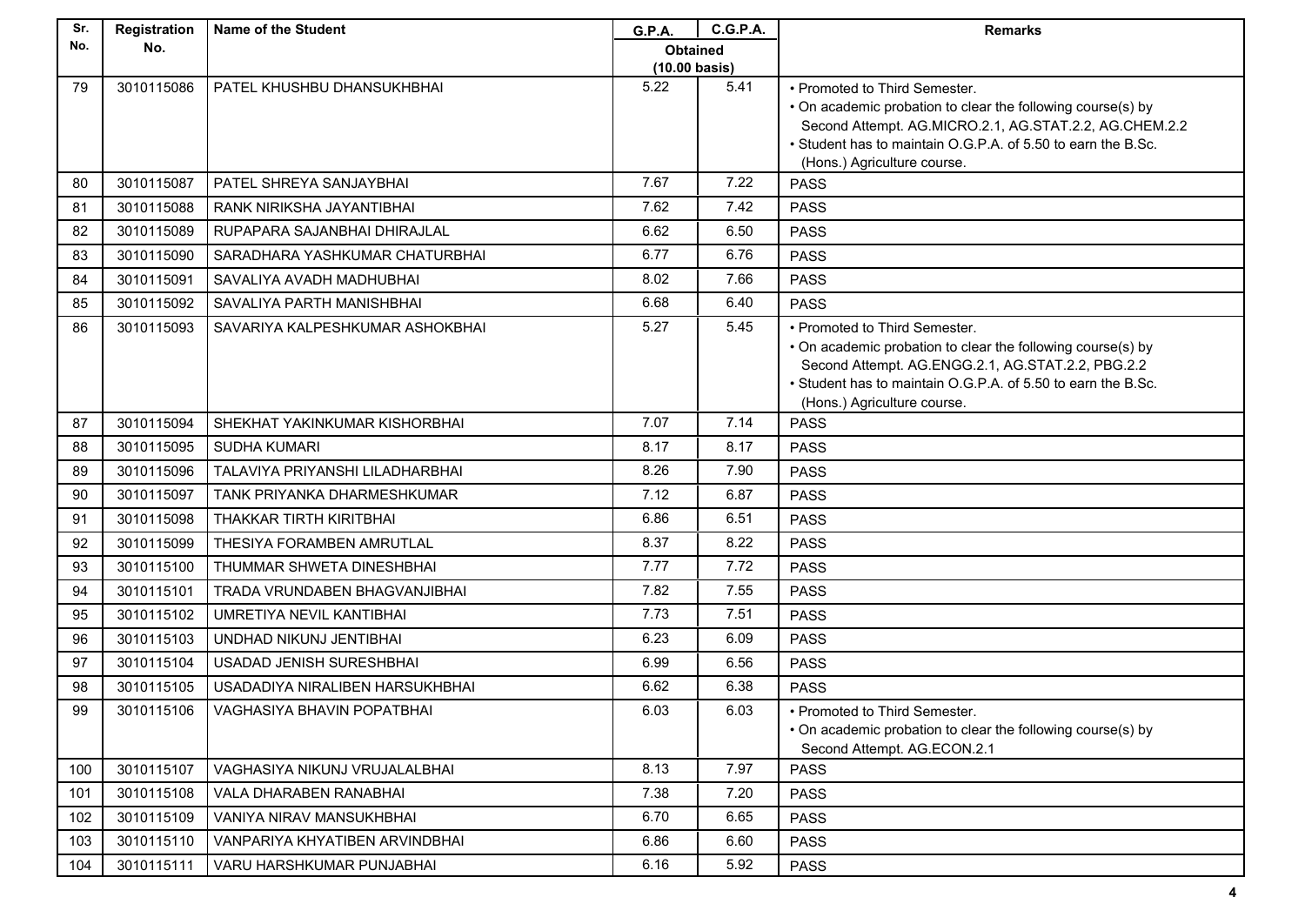| Sr. | Registration | <b>Name of the Student</b>      | <b>G.P.A.</b>           | <b>C.G.P.A.</b> | <b>Remarks</b>                                                                               |
|-----|--------------|---------------------------------|-------------------------|-----------------|----------------------------------------------------------------------------------------------|
| No. | No.          |                                 | <b>Obtained</b>         |                 |                                                                                              |
|     |              |                                 | $(10.00 \text{ basis})$ |                 |                                                                                              |
| 79  | 3010115086   | PATEL KHUSHBU DHANSUKHBHAI      | 5.22                    | 5.41            | • Promoted to Third Semester.<br>• On academic probation to clear the following course(s) by |
|     |              |                                 |                         |                 | Second Attempt. AG.MICRO.2.1, AG.STAT.2.2, AG.CHEM.2.2                                       |
|     |              |                                 |                         |                 | • Student has to maintain O.G.P.A. of 5.50 to earn the B.Sc.                                 |
|     |              |                                 |                         |                 | (Hons.) Agriculture course.                                                                  |
| 80  | 3010115087   | PATEL SHREYA SANJAYBHAI         | 7.67                    | 7.22            | <b>PASS</b>                                                                                  |
| 81  | 3010115088   | RANK NIRIKSHA JAYANTIBHAI       | 7.62                    | 7.42            | <b>PASS</b>                                                                                  |
| 82  | 3010115089   | RUPAPARA SAJANBHAI DHIRAJLAL    | 6.62                    | 6.50            | <b>PASS</b>                                                                                  |
| 83  | 3010115090   | SARADHARA YASHKUMAR CHATURBHAI  | 6.77                    | 6.76            | <b>PASS</b>                                                                                  |
| 84  | 3010115091   | SAVALIYA AVADH MADHUBHAI        | 8.02                    | 7.66            | <b>PASS</b>                                                                                  |
| 85  | 3010115092   | SAVALIYA PARTH MANISHBHAI       | 6.68                    | 6.40            | <b>PASS</b>                                                                                  |
| 86  | 3010115093   | SAVARIYA KALPESHKUMAR ASHOKBHAI | 5.27                    | 5.45            | • Promoted to Third Semester.                                                                |
|     |              |                                 |                         |                 | • On academic probation to clear the following course(s) by                                  |
|     |              |                                 |                         |                 | Second Attempt. AG.ENGG.2.1, AG.STAT.2.2, PBG.2.2                                            |
|     |              |                                 |                         |                 | • Student has to maintain O.G.P.A. of 5.50 to earn the B.Sc.                                 |
| 87  | 3010115094   | SHEKHAT YAKINKUMAR KISHORBHAI   | 7.07                    | 7.14            | (Hons.) Agriculture course.<br><b>PASS</b>                                                   |
| 88  | 3010115095   | <b>SUDHA KUMARI</b>             | 8.17                    | 8.17            | <b>PASS</b>                                                                                  |
| 89  | 3010115096   | TALAVIYA PRIYANSHI LILADHARBHAI | 8.26                    | 7.90            | <b>PASS</b>                                                                                  |
| 90  | 3010115097   | TANK PRIYANKA DHARMESHKUMAR     | 7.12                    | 6.87            | <b>PASS</b>                                                                                  |
| 91  | 3010115098   | THAKKAR TIRTH KIRITBHAI         | 6.86                    | 6.51            | <b>PASS</b>                                                                                  |
| 92  | 3010115099   | THESIYA FORAMBEN AMRUTLAL       | 8.37                    | 8.22            | <b>PASS</b>                                                                                  |
| 93  | 3010115100   | THUMMAR SHWETA DINESHBHAI       | 7.77                    | 7.72            | <b>PASS</b>                                                                                  |
| 94  | 3010115101   | TRADA VRUNDABEN BHAGVANJIBHAI   | 7.82                    | 7.55            | <b>PASS</b>                                                                                  |
| 95  | 3010115102   | UMRETIYA NEVIL KANTIBHAI        | 7.73                    | 7.51            | <b>PASS</b>                                                                                  |
| 96  | 3010115103   | UNDHAD NIKUNJ JENTIBHAI         | 6.23                    | 6.09            | <b>PASS</b>                                                                                  |
| 97  | 3010115104   | USADAD JENISH SURESHBHAI        | 6.99                    | 6.56            | <b>PASS</b>                                                                                  |
| 98  | 3010115105   | USADADIYA NIRALIBEN HARSUKHBHAI | 6.62                    | 6.38            | <b>PASS</b>                                                                                  |
| qq  | 3010115106   | VAGHASIYA BHAVIN POPATBHAI      | 6.03                    | 6.03            | • Promoted to Third Semester.                                                                |
|     |              |                                 |                         |                 | • On academic probation to clear the following course(s) by                                  |
| 100 | 3010115107   | VAGHASIYA NIKUNJ VRUJALALBHAI   | 8.13                    | 7.97            | Second Attempt. AG.ECON.2.1<br><b>PASS</b>                                                   |
| 101 | 3010115108   | VALA DHARABEN RANABHAI          | 7.38                    | 7.20            | <b>PASS</b>                                                                                  |
|     |              | VANIYA NIRAV MANSUKHBHAI        | 6.70                    | 6.65            |                                                                                              |
| 102 | 3010115109   |                                 |                         |                 | <b>PASS</b>                                                                                  |
| 103 | 3010115110   | VANPARIYA KHYATIBEN ARVINDBHAI  | 6.86                    | 6.60            | <b>PASS</b>                                                                                  |
| 104 | 3010115111   | VARU HARSHKUMAR PUNJABHAI       | 6.16                    | 5.92            | <b>PASS</b>                                                                                  |